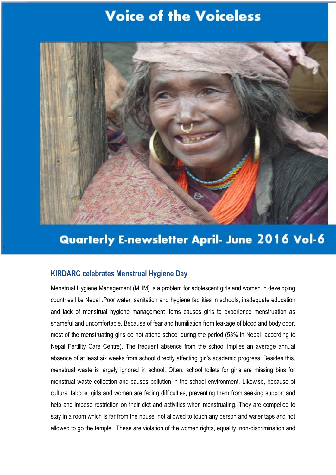# **Voice of the Voiceless**



## **Quarterly E-newsletter April- June 2016 Vol-6**

### **KIRDARC celebrates Menstrual Hygiene Day**

Menstrual Hygiene Management (MHM) is a problem for adolescent girls and women in developing countries like Nepal .Poor water, sanitation and hygiene facilities in schools, inadequate education and lack of menstrual hygiene management items causes girls to experience menstruation as shameful and uncomfortable. Because of fear and humiliation from leakage of blood and body odor, most of the menstruating girls do not attend school during the period (53% in Nepal, according to Nepal Fertility Care Centre). The frequent absence from the school implies an average annual absence of at least six weeks from school directly affecting girl's academic progress. Besides this, menstrual waste is largely ignored in school. Often, school toilets for girls are missing bins for menstrual waste collection and causes pollution in the school environment. Likewise, because of cultural taboos, girls and women are facing difficulties, preventing them from seeking support and help and impose restriction on their diet and activities when menstruating. They are compelled to stay in a room which is far from the house, not allowed to touch any person and water taps and not allowed to go the temple. These are violation of the women rights, equality, non-discrimination and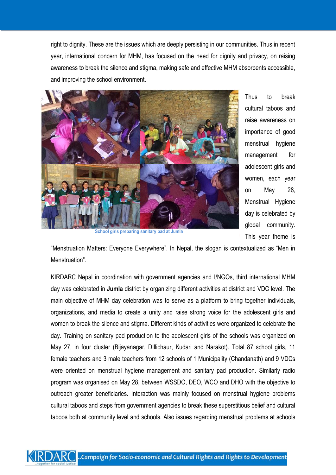right to dignity. These are the issues which are deeply persisting in our communities. Thus in recent year, international concern for MHM, has focused on the need for dignity and privacy, on raising awareness to break the silence and stigma, making safe and effective MHM absorbents accessible, and improving the school environment.



Thus to break cultural taboos and raise awareness on importance of good menstrual hygiene management for adolescent girls and women, each year on May 28, Menstrual Hygiene day is celebrated by global community. This year theme is

**School girls preparing sanitary pad at Jumla**

"Menstruation Matters: Everyone Everywhere". In Nepal, the slogan is contextualized as "Men in Menstruation".

KIRDARC Nepal in coordination with government agencies and I/NGOs, third international MHM day was celebrated in **Jumla** district by organizing different activities at district and VDC level. The main objective of MHM day celebration was to serve as a platform to bring together individuals, organizations, and media to create a unity and raise strong voice for the adolescent girls and women to break the silence and stigma. Different kinds of activities were organized to celebrate the day. Training on sanitary pad production to the adolescent girls of the schools was organized on May 27, in four cluster (Bijayanagar, DIllichaur, Kudari and Narakot). Total 87 school girls, 11 female teachers and 3 male teachers from 12 schools of 1 Municipality (Chandanath) and 9 VDCs were oriented on menstrual hygiene management and sanitary pad production. Similarly radio program was organised on May 28, between WSSDO, DEO, WCO and DHO with the objective to outreach greater beneficiaries. Interaction was mainly focused on menstrual hygiene problems cultural taboos and steps from government agencies to break these superstitious belief and cultural taboos both at community level and schools. Also issues regarding menstrual problems at schools

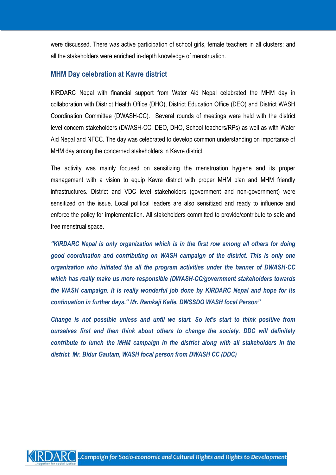were discussed. There was active participation of school girls, female teachers in all clusters: and all the stakeholders were enriched in-depth knowledge of menstruation.

## **MHM Day celebration at Kavre district**

KIRDARC Nepal with financial support from Water Aid Nepal celebrated the MHM day in collaboration with District Health Office (DHO), District Education Office (DEO) and District WASH Coordination Committee (DWASH-CC). Several rounds of meetings were held with the district level concern stakeholders (DWASH-CC, DEO, DHO, School teachers/RPs) as well as with Water Aid Nepal and NFCC. The day was celebrated to develop common understanding on importance of MHM day among the concerned stakeholders in Kavre district.

The activity was mainly focused on sensitizing the menstruation hygiene and its proper management with a vision to equip Kavre district with proper MHM plan and MHM friendly infrastructures. District and VDC level stakeholders (government and non-government) were sensitized on the issue. Local political leaders are also sensitized and ready to influence and enforce the policy for implementation. All stakeholders committed to provide/contribute to safe and free menstrual space.

*"KIRDARC Nepal is only organization which is in the first row among all others for doing good coordination and contributing on WASH campaign of the district. This is only one organization who initiated the all the program activities under the banner of DWASH-CC which has really make us more responsible (DWASH-CC/government stakeholders towards the WASH campaign. It is really wonderful job done by KIRDARC Nepal and hope for its continuation in further days." Mr. Ramkaji Kafle, DWSSDO WASH focal Person"*

*Change is not possible unless and until we start. So let's start to think positive from ourselves first and then think about others to change the society. DDC will definitely contribute to lunch the MHM campaign in the district along with all stakeholders in the district. Mr. Bidur Gautam, WASH focal person from DWASH CC (DDC)*

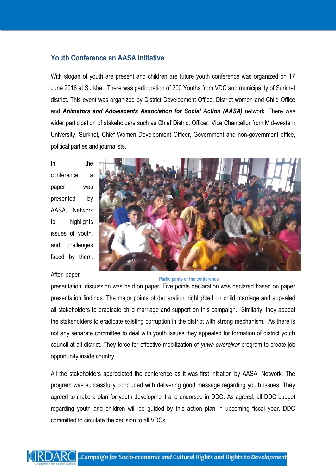## **Youth Conference an AASA initiative**

With slogan of youth are present and children are future youth conference was organized on 17 June 2016 at Surkhet. There was participation of 200 Youths from VDC and municipality of Surkhet district. This event was organized by District Development Office, District women and Child Office and *Animators and Adolescents Association for Social Action (AASA)* network. There was wider participation of stakeholders such as Chief District Officer, Vice Chancellor from Mid-western University, Surkhet, Chief Women Development Officer, Government and non-government office, political parties and journalists.

In the conference, a paper was presented by AASA, Network to highlights issues of youth, and challenges faced by them.



#### After paper

#### **Participants of the conference**

presentation, discussion was held on paper. Five points declaration was declared based on paper presentation findings. The major points of declaration highlighted on child marriage and appealed all stakeholders to eradicate child marriage and support on this campaign. Similarly, they appeal the stakeholders to eradicate existing corruption in the district with strong mechanism. As there is not any separate committee to deal with youth issues they appealed for formation of district youth council at all district. They force for effective mobilization of *yuwa sworojkar* program to create job opportunity inside country.

All the stakeholders appreciated the conference as it was first initiation by AASA, Network. The program was successfully concluded with delivering good message regarding youth issues. They agreed to make a plan for youth development and endorsed in DDC. As agreed, all DDC budget regarding youth and children will be guided by this action plan in upcoming fiscal year. DDC committed to circulate the decision to all VDCs.

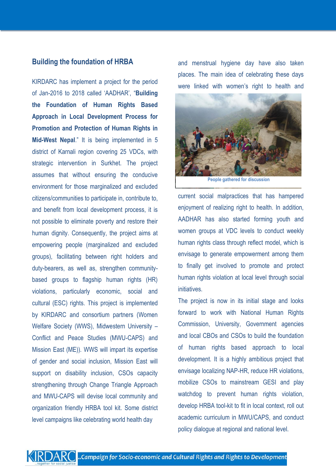#### **Building the foundation of HRBA**

KIRDARC has implement a project for the period of Jan-2016 to 2018 called 'AADHAR', "**Building the Foundation of Human Rights Based Approach in Local Development Process for Promotion and Protection of Human Rights in Mid-West Nepal**." It is being implemented in 5 district of Karnali region covering 25 VDCs, with strategic intervention in Surkhet. The project assumes that without ensuring the conducive environment for those marginalized and excluded citizens/communities to participate in, contribute to, and benefit from local development process, it is not possible to eliminate poverty and restore their human dignity. Consequently, the project aims at empowering people (marginalized and excluded groups), facilitating between right holders and duty-bearers, as well as, strengthen communitybased groups to flagship human rights (HR) violations, particularly economic, social and cultural (ESC) rights. This project is implemented by KIRDARC and consortium partners (Women Welfare Society (WWS), Midwestern University – Conflict and Peace Studies (MWU-CAPS) and Mission East (ME)). WWS will impart its expertise of gender and social inclusion, Mission East will support on disability inclusion, CSOs capacity strengthening through Change Triangle Approach and MWU-CAPS will devise local community and organization friendly HRBA tool kit. Some district level campaigns like celebrating world health day

and menstrual hygiene day have also taken places. The main idea of celebrating these days were linked with women's right to health and



**People gathered for discussion**

current social malpractices that has hampered enjoyment of realizing right to health. In addition, AADHAR has also started forming youth and women groups at VDC levels to conduct weekly human rights class through reflect model, which is envisage to generate empowerment among them to finally get involved to promote and protect human rights violation at local level through social initiatives.

The project is now in its initial stage and looks forward to work with National Human Rights Commission, University, Government agencies and local CBOs and CSOs to build the foundation of human rights based approach to local development. It is a highly ambitious project that envisage localizing NAP-HR, reduce HR violations, mobilize CSOs to mainstream GESI and play watchdog to prevent human rights violation, develop HRBA tool-kit to fit in local context, roll out academic curriculum in MWU/CAPS, and conduct policy dialogue at regional and national level.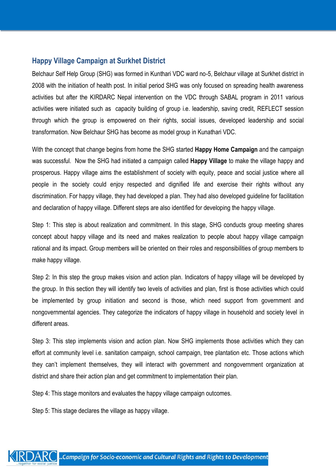## **Happy Village Campaign at Surkhet District**

Belchaur Self Help Group (SHG) was formed in Kunthari VDC ward no-5, Belchaur village at Surkhet district in 2008 with the initiation of health post. In initial period SHG was only focused on spreading health awareness activities but after the KIRDARC Nepal intervention on the VDC through SABAL program in 2011 various activities were initiated such as capacity building of group i.e. leadership, saving credit, REFLECT session through which the group is empowered on their rights, social issues, developed leadership and social transformation. Now Belchaur SHG has become as model group in Kunathari VDC.

With the concept that change begins from home the SHG started **Happy Home Campaign** and the campaign was successful. Now the SHG had initiated a campaign called **Happy Village** to make the village happy and prosperous. Happy village aims the establishment of society with equity, peace and social justice where all people in the society could enjoy respected and dignified life and exercise their rights without any discrimination. For happy village, they had developed a plan. They had also developed guideline for facilitation and declaration of happy village. Different steps are also identified for developing the happy village.

Step 1: This step is about realization and commitment. In this stage, SHG conducts group meeting shares concept about happy village and its need and makes realization to people about happy village campaign rational and its impact. Group members will be oriented on their roles and responsibilities of group members to make happy village.

Step 2: In this step the group makes vision and action plan. Indicators of happy village will be developed by the group. In this section they will identify two levels of activities and plan, first is those activities which could be implemented by group initiation and second is those, which need support from government and nongovernmental agencies. They categorize the indicators of happy village in household and society level in different areas.

Step 3: This step implements vision and action plan. Now SHG implements those activities which they can effort at community level i.e. sanitation campaign, school campaign, tree plantation etc. Those actions which they can't implement themselves, they will interact with government and nongovernment organization at district and share their action plan and get commitment to implementation their plan.

Step 4: This stage monitors and evaluates the happy village campaign outcomes.

Step 5: This stage declares the village as happy village.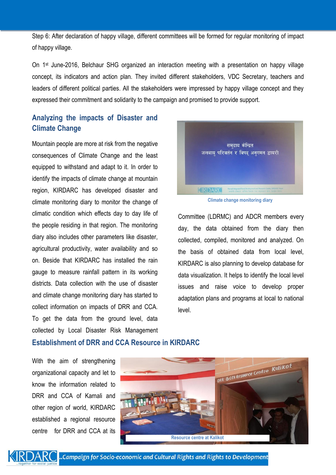Step 6: After declaration of happy village, different committees will be formed for regular monitoring of impact of happy village.

On 1st June-2016, Belchaur SHG organized an interaction meeting with a presentation on happy village concept, its indicators and action plan. They invited different stakeholders, VDC Secretary, teachers and leaders of different political parties. All the stakeholders were impressed by happy village concept and they expressed their commitment and solidarity to the campaign and promised to provide support.

## **Analyzing the impacts of Disaster and Climate Change**

Mountain people are more at risk from the negative consequences of Climate Change and the least equipped to withstand and adapt to it. In order to identify the impacts of climate change at mountain region, KIRDARC has developed disaster and climate monitoring diary to monitor the change of climatic condition which effects day to day life of the people residing in that region. The monitoring diary also includes other parameters like disaster, agricultural productivity, water availability and so on. Beside that KIRDARC has installed the rain gauge to measure rainfall pattern in its working districts. Data collection with the use of disaster and climate change monitoring diary has started to collect information on impacts of DRR and CCA. To get the data from the ground level, data collected by Local Disaster Risk Management



**Climate change monitoring diary**

Committee (LDRMC) and ADCR members every day, the data obtained from the diary then collected, compiled, monitored and analyzed. On the basis of obtained data from local level, KIRDARC is also planning to develop database for data visualization. It helps to identify the local level issues and raise voice to develop proper adaptation plans and programs at local to national level.

#### **Establishment of DRR and CCA Resource in KIRDARC**

With the aim of strengthening organizational capacity and let to know the information related to DRR and CCA of Karnali and other region of world, KIRDARC established a regional resource centre for DRR and CCA at its





 $\mathsf{ARC}$  ..Campaign for Socio-economic and Cultural Rights and Rights to Development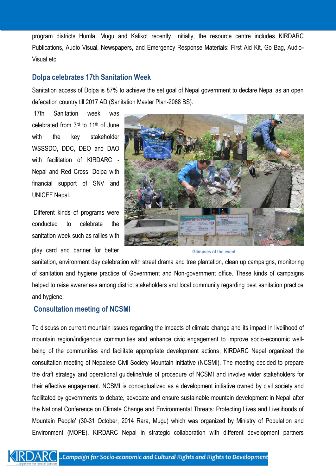program districts Humla, Mugu and Kalikot recently. Initially, the resource centre includes KIRDARC Publications, Audio Visual, Newspapers, and Emergency Response Materials: First Aid Kit, Go Bag, Audio-Visual etc.

## **Dolpa celebrates 17th Sanitation Week**

Sanitation access of Dolpa is 87% to achieve the set goal of Nepal government to declare Nepal as an open defecation country till 2017 AD (Sanitation Master Plan-2068 BS).

17th Sanitation week was celebrated from 3rd to 11th of June with the key stakeholder WSSSDO, DDC, DEO and DAO with facilitation of KIRDARC - Nepal and Red Cross, Dolpa with financial support of SNV and UNICEF Nepal.

Different kinds of programs were conducted to celebrate the sanitation week such as rallies with play card and banner for better



**Glimpses of the event**

sanitation, environment day celebration with street drama and tree plantation, clean up campaigns, monitoring of sanitation and hygiene practice of Government and Non-government office. These kinds of campaigns helped to raise awareness among district stakeholders and local community regarding best sanitation practice and hygiene.

## **Consultation meeting of NCSMI**

To discuss on current mountain issues regarding the impacts of climate change and its impact in livelihood of mountain region/indigenous communities and enhance civic engagement to improve socio-economic wellbeing of the communities and facilitate appropriate development actions, KIRDARC Nepal organized the consultation meeting of Nepalese Civil Society Mountain Initiative (NCSMI). The meeting decided to prepare the draft strategy and operational guideline/rule of procedure of NCSMI and involve wider stakeholders for their effective engagement. NCSMI is conceptualized as a development initiative owned by civil society and facilitated by governments to debate, advocate and ensure sustainable mountain development in Nepal after the National Conference on Climate Change and Environmental Threats: Protecting Lives and Livelihoods of Mountain People' (30-31 October, 2014 Rara, Mugu) which was organized by Ministry of Population and Environment (MOPE). KIRDARC Nepal in strategic collaboration with different development partners

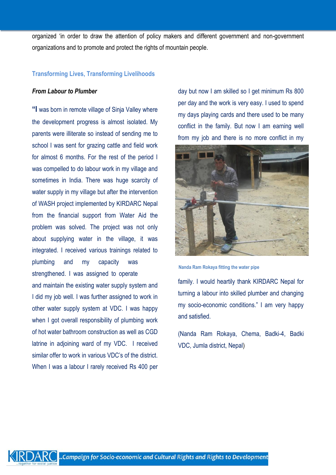organized 'in order to draw the attention of policy makers and different government and non-government organizations and to promote and protect the rights of mountain people.

#### **Transforming Lives, Transforming Livelihoods**

#### *From Labour to Plumber*

**"I** was born in remote village of Sinja Valley where the development progress is almost isolated. My parents were illiterate so instead of sending me to school I was sent for grazing cattle and field work for almost 6 months. For the rest of the period I was compelled to do labour work in my village and sometimes in India. There was huge scarcity of water supply in my village but after the intervention of WASH project implemented by KIRDARC Nepal from the financial support from Water Aid the problem was solved. The project was not only about supplying water in the village, it was integrated. I received various trainings related to plumbing and my capacity was strengthened. I was assigned to operate and maintain the existing water supply system and I did my job well. I was further assigned to work in other water supply system at VDC. I was happy when I got overall responsibility of plumbing work of hot water bathroom construction as well as CGD latrine in adjoining ward of my VDC. I received similar offer to work in various VDC's of the district. When I was a labour I rarely received Rs 400 per

day but now I am skilled so I get minimum Rs 800 per day and the work is very easy. I used to spend my days playing cards and there used to be many conflict in the family. But now I am earning well from my job and there is no more conflict in my



**Nanda Ram Rokaya fitting the water pipe**

family. I would heartily thank KIRDARC Nepal for turning a labour into skilled plumber and changing my socio-economic conditions." I am very happy and satisfied.

(Nanda Ram Rokaya, Chema, Badki-4, Badki VDC, Jumla district, Nepal)